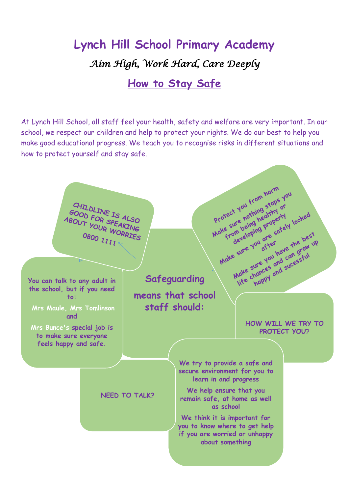# **Lynch Hill School Primary Academy** *Aim High, Work Hard, Care Deeply*

#### **How to Stay Safe**

At Lynch Hill School, all staff feel your health, safety and welfare are very important. In our school, we respect our children and help to protect your rights. We do our best to help you make good educational progress. We teach you to recognise risks in different situations and how to protect yourself and stay safe.

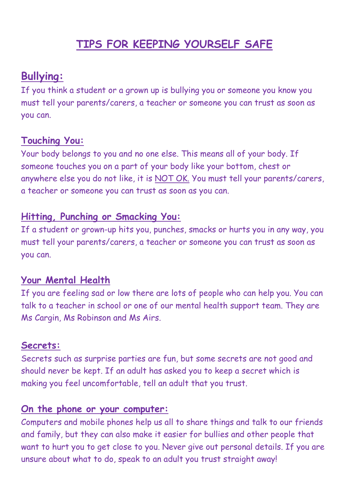## **TIPS FOR KEEPING YOURSELF SAFE**

### **Bullying:**

If you think a student or a grown up is bullying you or someone you know you must tell your parents/carers, a teacher or someone you can trust as soon as you can.

#### **Touching You:**

Your body belongs to you and no one else. This means all of your body. If someone touches you on a part of your body like your bottom, chest or anywhere else you do not like, it is NOT OK. You must tell your parents/carers, a teacher or someone you can trust as soon as you can.

#### **Hitting, Punching or Smacking You:**

If a student or grown-up hits you, punches, smacks or hurts you in any way, you must tell your parents/carers, a teacher or someone you can trust as soon as you can.

#### **Your Mental Health**

If you are feeling sad or low there are lots of people who can help you. You can talk to a teacher in school or one of our mental health support team. They are Ms Cargin, Ms Robinson and Ms Airs.

#### **Secrets:**

Secrets such as surprise parties are fun, but some secrets are not good and should never be kept. If an adult has asked you to keep a secret which is making you feel uncomfortable, tell an adult that you trust.

#### **On the phone or your computer:**

Computers and mobile phones help us all to share things and talk to our friends and family, but they can also make it easier for bullies and other people that want to hurt you to get close to you. Never give out personal details. If you are unsure about what to do, speak to an adult you trust straight away!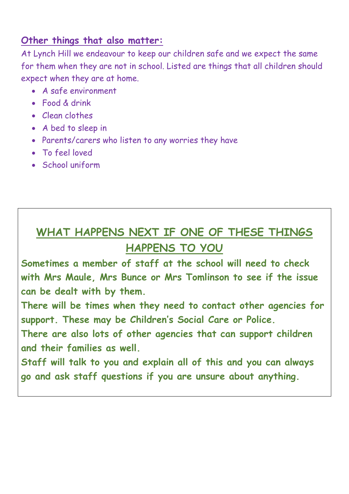#### **Other things that also matter:**

At Lynch Hill we endeavour to keep our children safe and we expect the same for them when they are not in school. Listed are things that all children should expect when they are at home.

- A safe environment
- Food & drink
- Clean clothes
- A bed to sleep in
- Parents/carers who listen to any worries they have
- To feel loved
- School uniform

## **WHAT HAPPENS NEXT IF ONE OF THESE THINGS HAPPENS TO YOU**

**Sometimes a member of staff at the school will need to check with Mrs Maule, Mrs Bunce or Mrs Tomlinson to see if the issue can be dealt with by them.**

**There will be times when they need to contact other agencies for support. These may be Children's Social Care or Police.**

**There are also lots of other agencies that can support children and their families as well.**

**Staff will talk to you and explain all of this and you can always go and ask staff questions if you are unsure about anything.**